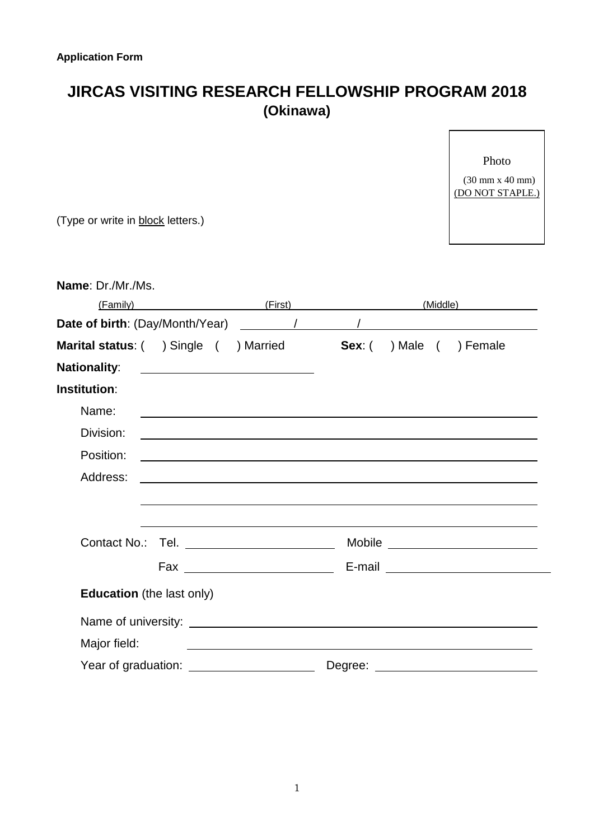## **JIRCAS VISITING RESEARCH FELLOWSHIP PROGRAM 2018 (Okinawa)**

Photo (30 mm x 40 mm) (DO NOT STAPLE.)

| (Type or write in block letters.) |                                                   |                                                                                                                       |  |                  |
|-----------------------------------|---------------------------------------------------|-----------------------------------------------------------------------------------------------------------------------|--|------------------|
|                                   |                                                   |                                                                                                                       |  |                  |
| Name: Dr./Mr./Ms.                 |                                                   |                                                                                                                       |  |                  |
| (Family)                          |                                                   |                                                                                                                       |  | (First) (Middle) |
|                                   |                                                   |                                                                                                                       |  |                  |
| Marital status: ( ) Single (      |                                                   | ) Married <b>Sex</b> : ( ) Male ( ) Female                                                                            |  |                  |
| <b>Nationality:</b>               | <u> 1990 - Johann Barnett, fransk politiker (</u> |                                                                                                                       |  |                  |
| <b>Institution:</b>               |                                                   |                                                                                                                       |  |                  |
| Name:                             |                                                   |                                                                                                                       |  |                  |
| Division:                         |                                                   |                                                                                                                       |  |                  |
| Position:                         |                                                   | <u> 1989 - Johann Johann Stoff, deutscher Stoff als der Stoff aus der Stoff als der Stoff als der Stoff als der S</u> |  |                  |
| Address:                          |                                                   |                                                                                                                       |  |                  |
|                                   |                                                   |                                                                                                                       |  |                  |
|                                   |                                                   |                                                                                                                       |  |                  |
|                                   |                                                   |                                                                                                                       |  |                  |
|                                   |                                                   |                                                                                                                       |  |                  |
| <b>Education</b> (the last only)  |                                                   |                                                                                                                       |  |                  |
|                                   |                                                   |                                                                                                                       |  |                  |
| Major field:                      |                                                   | <u> 1980 - Johann Barn, mars an t-Amerikaansk politiker (* 1918)</u>                                                  |  |                  |
|                                   |                                                   |                                                                                                                       |  |                  |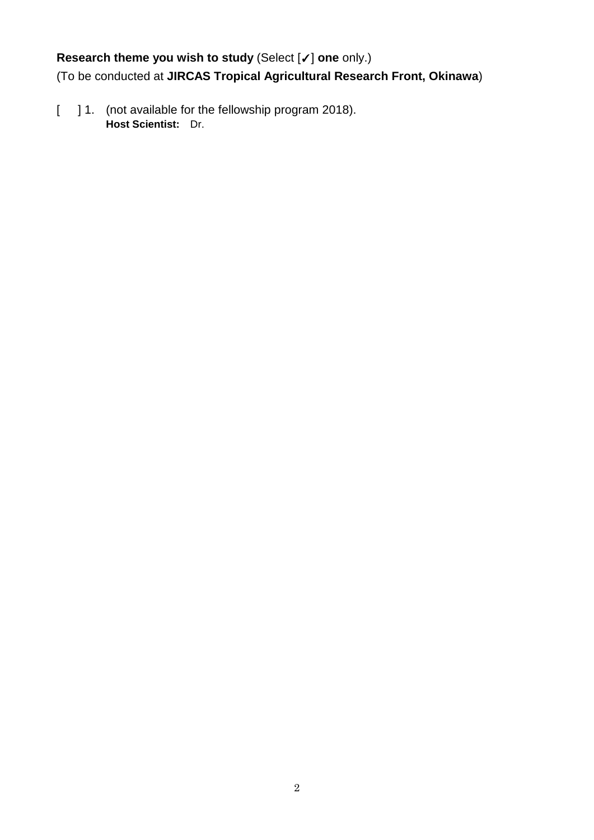## **Research theme you wish to study** (Select [✓] **one** only.)

(To be conducted at **JIRCAS Tropical Agricultural Research Front, Okinawa**)

[ ] 1. (not available for the fellowship program 2018). **Host Scientist:** Dr.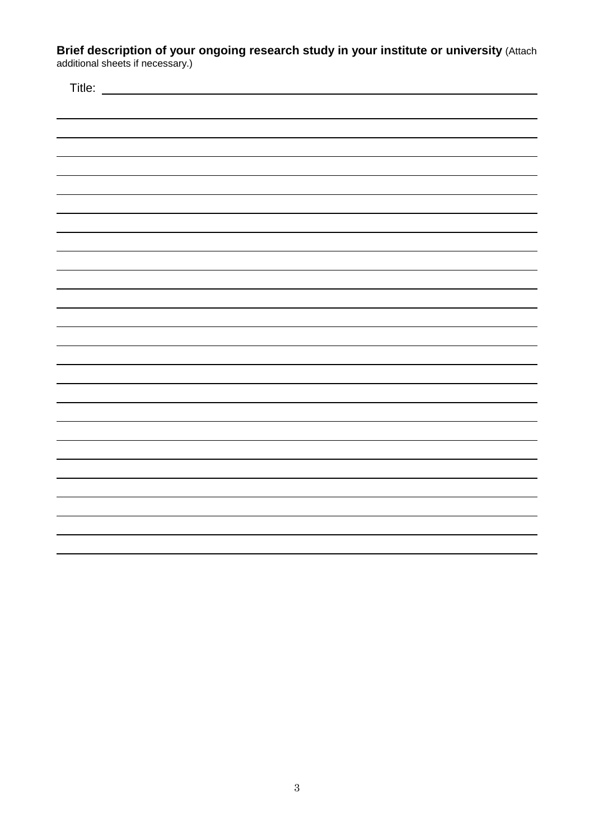**Brief description of your ongoing research study in your institute or university** (Attach additional sheets if necessary.)

| Title: |  |
|--------|--|
|        |  |
|        |  |
|        |  |
|        |  |
|        |  |
|        |  |
|        |  |
|        |  |
|        |  |
|        |  |
|        |  |
|        |  |
|        |  |
|        |  |
|        |  |
|        |  |
|        |  |
|        |  |
|        |  |
|        |  |
|        |  |
|        |  |
|        |  |
|        |  |
|        |  |
|        |  |
|        |  |
|        |  |
|        |  |
|        |  |
|        |  |
|        |  |
|        |  |
|        |  |
|        |  |
|        |  |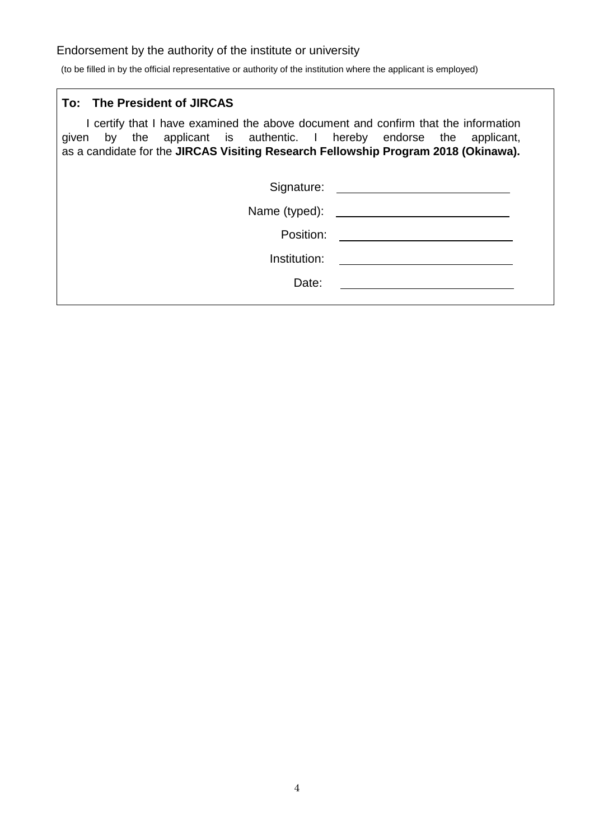## Endorsement by the authority of the institute or university

(to be filled in by the official representative or authority of the institution where the applicant is employed)

| To: The President of JIRCAS                                                                                                                                                                                                                      |                                                                                                                                                                                                                                      |
|--------------------------------------------------------------------------------------------------------------------------------------------------------------------------------------------------------------------------------------------------|--------------------------------------------------------------------------------------------------------------------------------------------------------------------------------------------------------------------------------------|
| I certify that I have examined the above document and confirm that the information<br>given by the applicant is authentic. I hereby endorse the applicant,<br>as a candidate for the JIRCAS Visiting Research Fellowship Program 2018 (Okinawa). |                                                                                                                                                                                                                                      |
|                                                                                                                                                                                                                                                  | Signature: <u>contract and a series of the series of the series of the series of the series of the series of the series of the series of the series of the series of the series of the series of the series of the series of the</u> |
|                                                                                                                                                                                                                                                  |                                                                                                                                                                                                                                      |
| Position:                                                                                                                                                                                                                                        |                                                                                                                                                                                                                                      |
| Institution:                                                                                                                                                                                                                                     |                                                                                                                                                                                                                                      |
| Date:                                                                                                                                                                                                                                            |                                                                                                                                                                                                                                      |
|                                                                                                                                                                                                                                                  |                                                                                                                                                                                                                                      |